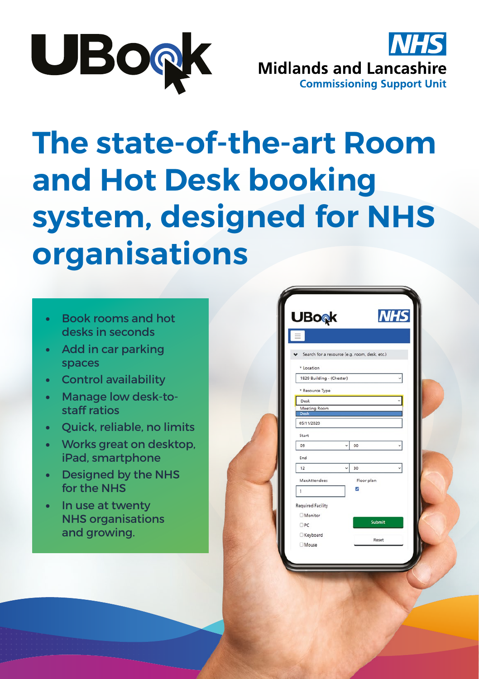



# **The state-of-the-art Room and Hot Desk booking system, designed for NHS organisations**

- Book rooms and hot desks in seconds
- Add in car parking spaces
- Control availability
- Manage low desk-tostaff ratios
- Quick, reliable, no limits
- Works great on desktop, iPad, smartphone
- Designed by the NHS for the NHS
- In use at twenty NHS organisations and growing.

| <b>UBo</b> <sub>®</sub> k          |                                               | <b>NHS</b> |
|------------------------------------|-----------------------------------------------|------------|
|                                    |                                               |            |
|                                    | Search for a resource (e.g. room, desk, etc.) |            |
| * Location                         |                                               |            |
| 1829 Building - (Chester)          |                                               |            |
| * Resource Type                    |                                               |            |
| Desk                               |                                               |            |
| <b>Meeting Room</b><br><b>Desk</b> |                                               |            |
| 05/11/2020                         |                                               |            |
| Start                              |                                               |            |
| 09                                 | 00                                            |            |
|                                    |                                               |            |
| End<br>12                          | 30                                            |            |
|                                    |                                               |            |
| MaxAttendees                       | Floor plan                                    |            |
| 1                                  | ⊽                                             |            |
| <b>Required Facility</b>           |                                               |            |
| <b>Monitor</b>                     |                                               |            |
| $\Box$ PC                          |                                               | Submit     |
| Keyboard                           |                                               | Reset      |
| <b>Mouse</b>                       |                                               |            |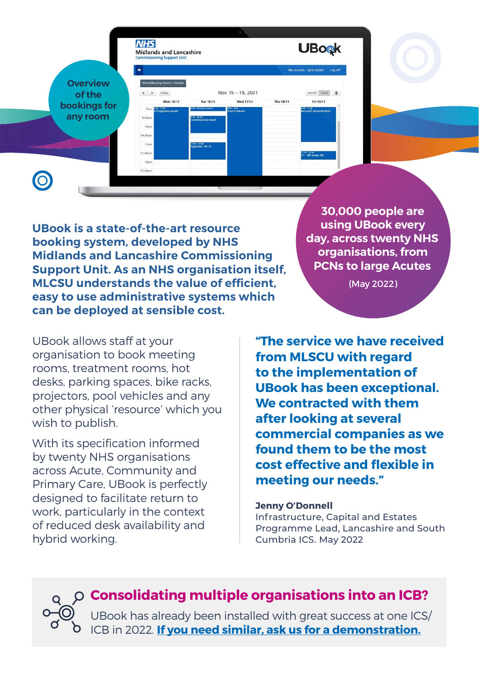|                 | <b>NHS</b><br><b>Midlands and Lancashire</b><br><b>Commissioning Support Unit</b> |                                     |                                |           | <b>UBook</b>                            |
|-----------------|-----------------------------------------------------------------------------------|-------------------------------------|--------------------------------|-----------|-----------------------------------------|
|                 | $\bullet$                                                                         |                                     |                                |           | My account: John Smith Log off          |
| <b>Overview</b> | View Meeting Room 1 Details                                                       |                                     |                                |           |                                         |
| of the          | $\leftarrow$ > today<br>Mon 15/11                                                 | Tue 16/11                           | Nov 15 - 19, 2021<br>Wed 17/11 | Thu 18/11 | month week $\Phi$<br>Fri 19/11          |
| bookings for    | 9:00 - 12:00<br>SI Programme Board<br>9am                                         | 9:00 - Premises review              | x co - a so<br>Trust Contracts |           | 9:00 · 11:00<br>Microsoft demonstration |
| any room        | 9:30am                                                                            | s 30 · 10:30<br>Commissioning Panel |                                |           |                                         |
|                 | 10am<br>10:30am                                                                   |                                     |                                |           |                                         |
|                 | 11am                                                                              | 1100-1200<br>Appraisal - SR / XC    |                                |           |                                         |
|                 | 11:30am                                                                           |                                     |                                |           | 11:30 - 12:00<br>1:1 - MR &arrp MC      |
|                 | 12pm<br>12:30pm                                                                   |                                     |                                |           |                                         |
|                 |                                                                                   |                                     |                                |           |                                         |
|                 |                                                                                   |                                     |                                |           |                                         |

**UBook is a state-of-the-art resource booking system, developed by NHS Midlands and Lancashire Commissioning Support Unit. As an NHS organisation itself, MLCSU understands the value of efficient, easy to use administrative systems which can be deployed at sensible cost.**

UBook allows staff at your organisation to book meeting rooms, treatment rooms, hot desks, parking spaces, bike racks, projectors, pool vehicles and any other physical 'resource' which you wish to publish.

With its specification informed by twenty NHS organisations across Acute, Community and Primary Care, UBook is perfectly designed to facilitate return to work, particularly in the context of reduced desk availability and hybrid working.

**30,000 people are using UBook every day, across twenty NHS organisations, from PCNs to large Acutes**

(May 2022)

**"The service we have received from MLSCU with regard to the implementation of UBook has been exceptional. We contracted with them after looking at several commercial companies as we found them to be the most cost effective and flexible in meeting our needs."**

#### **Jenny O'Donnell**

Infrastructure, Capital and Estates Programme Lead, Lancashire and South Cumbria ICS. May 2022

**Consolidating multiple organisations into an ICB?** 

UBook has already been installed with great success at one ICS/ ICB in 2022. **[If you need similar, ask us for a demonstration.](#page-6-0)**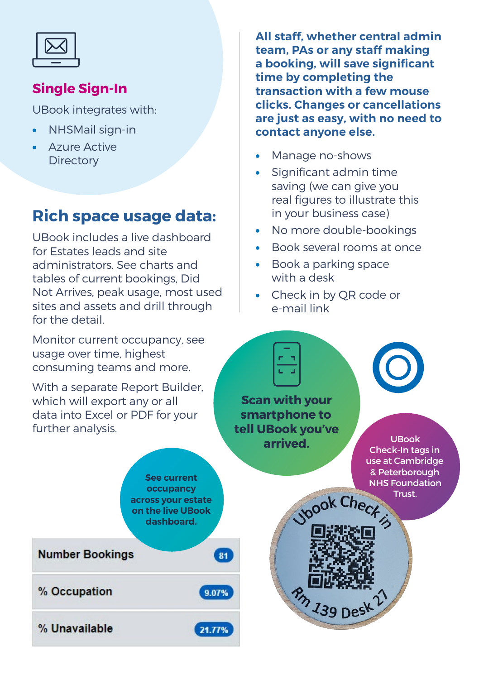## **Single Sign-In**

UBook integrates with:

- NHSMail sign-in
- Azure Active **Directory**

## **Rich space usage data:**

UBook includes a live dashboard for Estates leads and site administrators. See charts and tables of current bookings, Did Not Arrives, peak usage, most used sites and assets and drill through for the detail.

Monitor current occupancy, see usage over time, highest consuming teams and more.

With a separate Report Builder, which will export any or all data into Excel or PDF for your further analysis.

**All staff, whether central admin team, PAs or any staff making a booking, will save significant time by completing the transaction with a few mouse clicks. Changes or cancellations are just as easy, with no need to contact anyone else.**

- Manage no-shows
- Significant admin time saving (we can give you real figures to illustrate this in your business case)
- No more double-bookings
- Book several rooms at once
- Book a parking space with a desk
- Check in by QR code or e-mail link

 $n_{h}$  139 Desk

**Scan with your smartphone to tell UBook you've arrived.** UBook



Check-In tags in use at Cambridge & Peterborough NHS Foundation Trust.**Nook Check** 

**occupancy across your estate on the live UBook dashboard. Number Bookings**  $81$ % Occupation

**See current** 

9.07%

21.77%

% Unavailable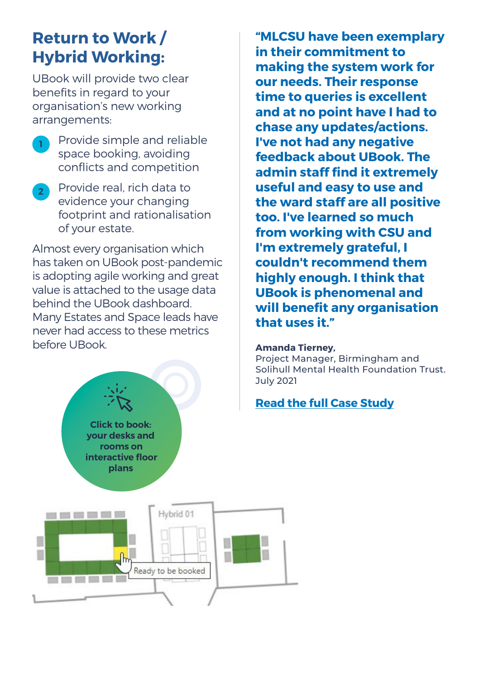## **Return to Work / Hybrid Working:**

UBook will provide two clear benefits in regard to your organisation's new working arrangements:

- **<sup>1</sup>** Provide simple and reliable space booking, avoiding conflicts and competition
- **2** Provide real, rich data to evidence your changing footprint and rationalisation of your estate.

Almost every organisation which has taken on UBook post-pandemic is adopting agile working and great value is attached to the usage data behind the UBook dashboard. Many Estates and Space leads have never had access to these metrics before UBook.

> **Click to book: your desks and rooms on**

**"MLCSU have been exemplary in their commitment to making the system work for our needs. Their response time to queries is excellent and at no point have I had to chase any updates/actions. I've not had any negative feedback about UBook. The admin staff find it extremely useful and easy to use and the ward staff are all positive too. I've learned so much from working with CSU and I'm extremely grateful, I couldn't recommend them highly enough. I think that UBook is phenomenal and will benefit any organisation that uses it."**

#### **Amanda Tierney,**

Project Manager, Birmingham and Solihull Mental Health Foundation Trust. July 2021

#### **Read the full Case Study**

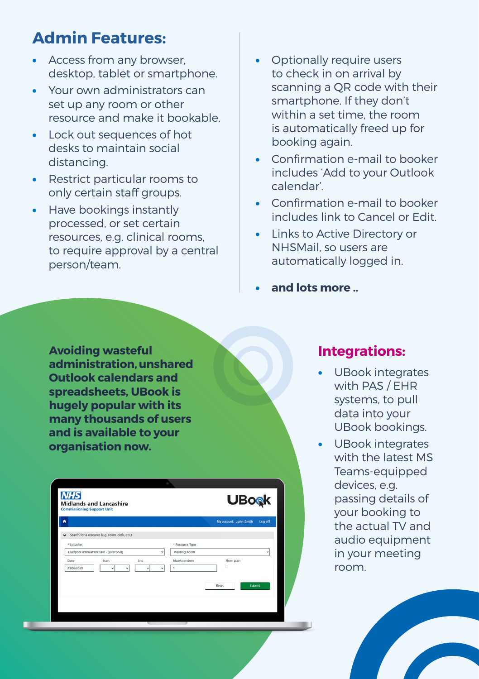## **Admin Features:**

- Access from any browser, desktop, tablet or smartphone.
- Your own administrators can set up any room or other resource and make it bookable.
- Lock out sequences of hot desks to maintain social distancing.
- Restrict particular rooms to only certain staff groups.
- Have bookings instantly processed, or set certain resources, e.g. clinical rooms, to require approval by a central person/team.
- Optionally require users to check in on arrival by scanning a QR code with their smartphone. If they don't within a set time, the room is automatically freed up for booking again.
- Confirmation e-mail to booker includes 'Add to your Outlook calendar'.
- Confirmation e-mail to booker includes link to Cancel or Edit.
- Links to Active Directory or NHSMail, so users are automatically logged in.
- **and lots more ..**

**Avoiding wasteful administration, unshared Outlook calendars and spreadsheets, UBook is hugely popular with its many thousands of users and is available to your organisation now.**

| <b>NHS</b><br><b>Midlands and Lancashire</b><br><b>Commissioning Support Unit</b> | <b>UBo</b> <sub><sup>k</sup></sub>   |
|-----------------------------------------------------------------------------------|--------------------------------------|
|                                                                                   | Log off<br>My account: John Smith    |
| Search for a resource (e.g. room, desk, etc.)<br>* Location                       | * Resource Type                      |
| Liverpool Innovation Park - (Liverpool)<br>٠                                      | Meeting Room<br>٧                    |
| Date<br>Start<br>End<br>23/06/2020<br>٧<br>v<br>٠<br>$\check{}$                   | Floor plan<br>MaxAttendees<br>ó<br>1 |
|                                                                                   | Submit<br>Reset                      |
|                                                                                   |                                      |

### **Integrations:**

- UBook integrates with PAS / EHR systems, to pull data into your UBook bookings.
- UBook integrates with the latest MS Teams-equipped devices, e.g. passing details of your booking to the actual TV and audio equipment in your meeting room.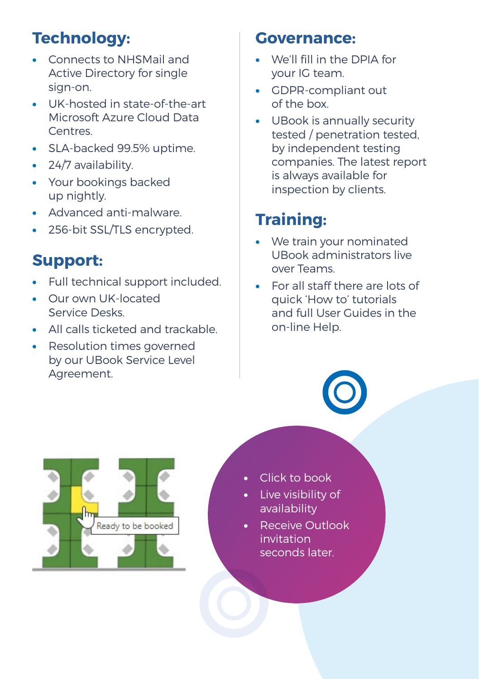## **Technology:**

- Connects to NHSMail and Active Directory for single sign-on.
- UK-hosted in state-of-the-art Microsoft Azure Cloud Data Centres.
- SLA-backed 99.5% uptime.
- 24/7 availability.
- Your bookings backed up nightly.
- Advanced anti-malware.
- 256-bit SSL/TLS encrypted.

## **Support:**

- Full technical support included.
- Our own UK-located Service Desks.
- All calls ticketed and trackable.
- Resolution times governed by our UBook Service Level Agreement.

## **Governance:**

- We'll fill in the DPIA for your IG team.
- GDPR-compliant out of the box.
- UBook is annually security tested / penetration tested, by independent testing companies. The latest report is always available for inspection by clients.

# **Training:**

- We train your nominated UBook administrators live over Teams.
- For all staff there are lots of quick 'How to' tutorials and full User Guides in the on-line Help.



- Click to book
- Live visibility of availability
- Receive Outlook invitation seconds later.